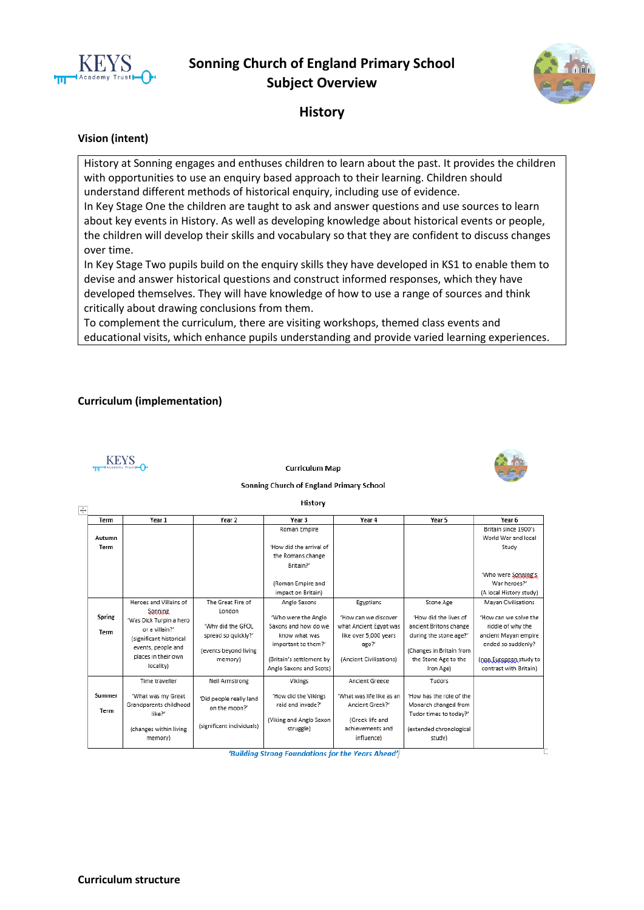

# **Sonning Church of England Primary School Subject Overview**



# **History**

#### **Vision (intent)**

History at Sonning engages and enthuses children to learn about the past. It provides the children with opportunities to use an enquiry based approach to their learning. Children should understand different methods of historical enquiry, including use of evidence.

In Key Stage One the children are taught to ask and answer questions and use sources to learn about key events in History. As well as developing knowledge about historical events or people, the children will develop their skills and vocabulary so that they are confident to discuss changes over time.

In Key Stage Two pupils build on the enquiry skills they have developed in KS1 to enable them to devise and answer historical questions and construct informed responses, which they have developed themselves. They will have knowledge of how to use a range of sources and think critically about drawing conclusions from them.

To complement the curriculum, there are visiting workshops, themed class events and educational visits, which enhance pupils understanding and provide varied learning experiences.

#### **Curriculum (implementation)**



**Curriculum Map** 



Sonning Church of England Primary School

| Term           | Year 1                  | Year 2                    | Year 3                   | Year 4                    | Year 5                   | Year 6                  |
|----------------|-------------------------|---------------------------|--------------------------|---------------------------|--------------------------|-------------------------|
|                |                         |                           | Roman Empire             |                           |                          | Britain since 1900's    |
| Autumn         |                         |                           |                          |                           |                          | World War and local     |
| Term           |                         |                           | 'How did the arrival of  |                           |                          | Study                   |
|                |                         |                           | the Romans change        |                           |                          |                         |
|                |                         |                           | Britain?'                |                           |                          |                         |
|                |                         |                           |                          |                           |                          | 'Who were Sonning's,    |
|                |                         |                           | (Roman Empire and        |                           |                          | War heroes?"            |
|                |                         |                           | impact on Britain)       |                           |                          | (A local History study) |
|                | Heroes and Villains of  | The Great Fire of         | Anglo Saxons             | Egyptians                 | Stone Age                | Mayan Civilisations     |
|                | Sonning                 | London                    |                          |                           |                          |                         |
| Spring<br>Term | 'Was Dick Turpin a hero |                           | 'Who were the Anglo      | 'How can we discover      | 'How did the lives of    | 'How can we solve the   |
|                | or a villain?'          | 'Why did the GFOL         | Saxons and how do we     | what Ancient Egypt was    | ancient Britons change   | riddle of why the       |
|                | (significant historical | spread so quickly?'       | know what was            | like over 5,000 years     | during the stone age?'   | ancient Mayan empire    |
|                | events, people and      | (events bevond living     | important to them?'      | ago?'                     | (Changes in Britain from | ended so suddenly?      |
|                | places in their own     | memory)                   | (Britain's settlement by | (Ancient Civilisations)   | the Stone Age to the     | (non European study to  |
|                | locality)               |                           | Anglo Saxons and Scots)  |                           | Iron Age)                | contrast with Britain)  |
|                |                         |                           |                          |                           |                          |                         |
|                | Time traveller          | Neil Armstrong            | Vikings                  | Ancient Greece            | Tudors                   |                         |
| Summer         | 'What was my Great      |                           | 'How did the Vikings     | 'What was life like as an | 'How has the role of the |                         |
|                | Grandparents childhood  | 'Did people really land   | raid and invade?'        | Ancient Greek?"           | Monarch changed from     |                         |
| Term           | like?'                  | on the moon?'             |                          |                           | Tudor times to today?'   |                         |
|                |                         |                           | (Viking and Anglo Saxon  | (Greek life and           |                          |                         |
|                | (changes within living  | (significant individuals) | struggle)                | achievements and          | (extended chronological  |                         |
|                | memory)                 |                           |                          | influence)                | study)                   |                         |

'Building Strong Foundations for the Years Ahead'